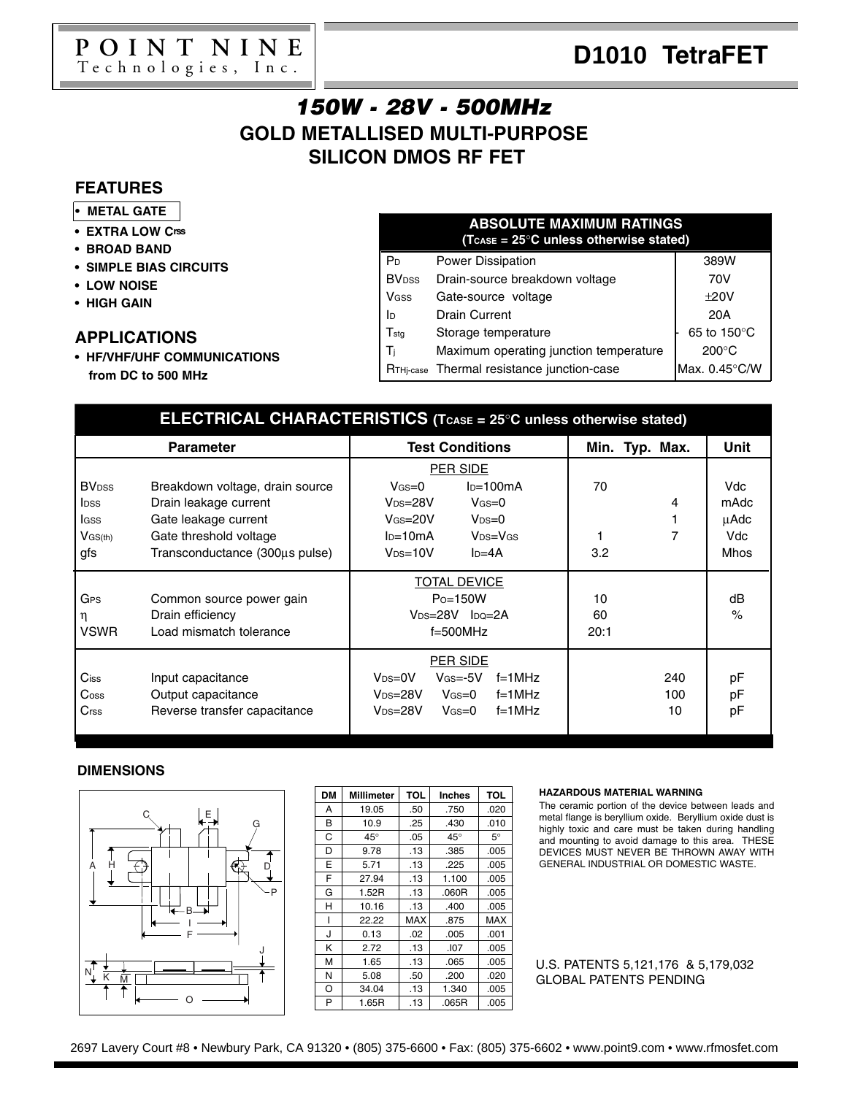

### **GOLD METALLISED MULTI-PURPOSE SILICON DMOS RF FET** 150W - 28V - 500MHz

### **FEATURES**

- **• METAL GATE**
- **• EXTRA LOW Crss**
- **• BROAD BAND**
- **• SIMPLE BIAS CIRCUITS**
- **• LOW NOISE**
- **• HIGH GAIN**

#### **APPLICATIONS**

**• HF/VHF/UHF COMMUNICATIONS from DC to 500 MHz**

#### P<sub>D</sub> Power Dissipation **PD** 389W BV<sub>DSS</sub> Drain-source breakdown voltage | 70V VGSS Gate-source voltage  $\vert$   $\pm 20V$ ID Drain Current 1 20A  $T_{\text{stg}}$  Storage temperature  $\begin{bmatrix} 65 & 150^{\circ} \text{C} \end{bmatrix}$  $T_j$  Maximum operating junction temperature  $\begin{bmatrix} 200^\circ \text{C} \end{bmatrix}$  $R_{\text{THi-case}}$  Thermal resistance junction-case Max. 0.45 $\degree$ C/W **ABSOLUTE MAXIMUM RATINGS (TCASE = 25**°**C unless otherwise stated)**

| ELECTRICAL CHARACTERISTICS (TCASE = 25°C unless otherwise stated) |                                 |                                               |                |      |  |  |  |
|-------------------------------------------------------------------|---------------------------------|-----------------------------------------------|----------------|------|--|--|--|
| <b>Parameter</b>                                                  |                                 | <b>Test Conditions</b>                        | Min. Typ. Max. | Unit |  |  |  |
|                                                                   |                                 | PER SIDE                                      |                |      |  |  |  |
| <b>BV</b> <sub>DSS</sub>                                          | Breakdown voltage, drain source | $ID=100mA$<br>$V$ GS $=$ 0                    | 70             | Vdc  |  |  |  |
| <b>l</b> pss                                                      | Drain leakage current           | $V$ GS=0<br>$V_{DS=28V}$                      | 4              | mAdc |  |  |  |
| lgss                                                              | Gate leakage current            | $V_{DS}=0$<br>$V$ Gs=20V                      |                | μAdc |  |  |  |
| $V$ GS(th)                                                        | Gate threshold voltage          | $V_{DS}=V_{GS}$<br>$I_{D}=10mA$               | 7              | Vdc  |  |  |  |
| gfs                                                               | Transconductance (300µs pulse)  | $I_D = 4A$<br>$V_{DS=10V}$                    | 3.2            | Mhos |  |  |  |
|                                                                   |                                 | <b>TOTAL DEVICE</b>                           |                |      |  |  |  |
| GPS                                                               | Common source power gain        | $Po=150W$                                     | 10             | dB   |  |  |  |
| η                                                                 | Drain efficiency                | $V_{DS=28V}$ $I_{DO=2A}$                      | 60             | $\%$ |  |  |  |
| <b>VSWR</b>                                                       | Load mismatch tolerance         | $f=500$ MHz                                   | 20:1           |      |  |  |  |
|                                                                   |                                 | PER SIDE                                      |                |      |  |  |  |
| $C$ iss                                                           | Input capacitance               | $V_{DS}=0V$<br>$V$ Gs $=$ -5 $V$<br>$f=1$ MHz | 240            | рF   |  |  |  |
| $\mathsf{Coss}$                                                   | Output capacitance              | $f=1$ MHz<br>$V_{DS=28V}$<br>Vgs=0            | 100            | рF   |  |  |  |
| Crss                                                              | Reverse transfer capacitance    | $V_{DS=28V}$<br>$f=1$ MHz<br>Vgs=0            | 10             | рF   |  |  |  |

#### **DIMENSIONS**



| <b>DM</b> | Millimeter   | <b>TOL</b> | <b>Inches</b> | <b>TOL</b> |
|-----------|--------------|------------|---------------|------------|
| А         | 19.05        | .50        | .750          | .020       |
| В         | 10.9         | .25        | .430          | .010       |
| C         | $45^{\circ}$ | .05        | $45^{\circ}$  | $5^\circ$  |
| D         | 9.78         | .13        | .385          | .005       |
| E         | 5.71         | .13        | .225          | .005       |
| F         | 27.94        | .13        | 1.100         | .005       |
| G         | 1.52R        | .13        | .060R         | .005       |
| н         | 10.16        | .13        | .400          | .005       |
|           | 22.22        | MAX        | .875          | <b>MAX</b> |
| J         | 0.13         | .02        | .005          | .001       |
| κ         | 2.72         | .13        | .107          | .005       |
| М         | 1.65         | .13        | .065          | .005       |
| N         | 5.08         | .50        | .200          | .020       |
| O         | 34.04        | .13        | 1.340         | .005       |
| P         | 1.65R        | .13        | .065R         | .005       |

#### **HAZARDOUS MATERIAL WARNING**

The ceramic portion of the device between leads and metal flange is beryllium oxide. Beryllium oxide dust is highly toxic and care must be taken during handling and mounting to avoid damage to this area. THESE DEVICES MUST NEVER BE THROWN AWAY WITH GENERAL INDUSTRIAL OR DOMESTIC WASTE.

U.S. PATENTS 5,121,176 & 5,179,032 GLOBAL PATENTS PENDING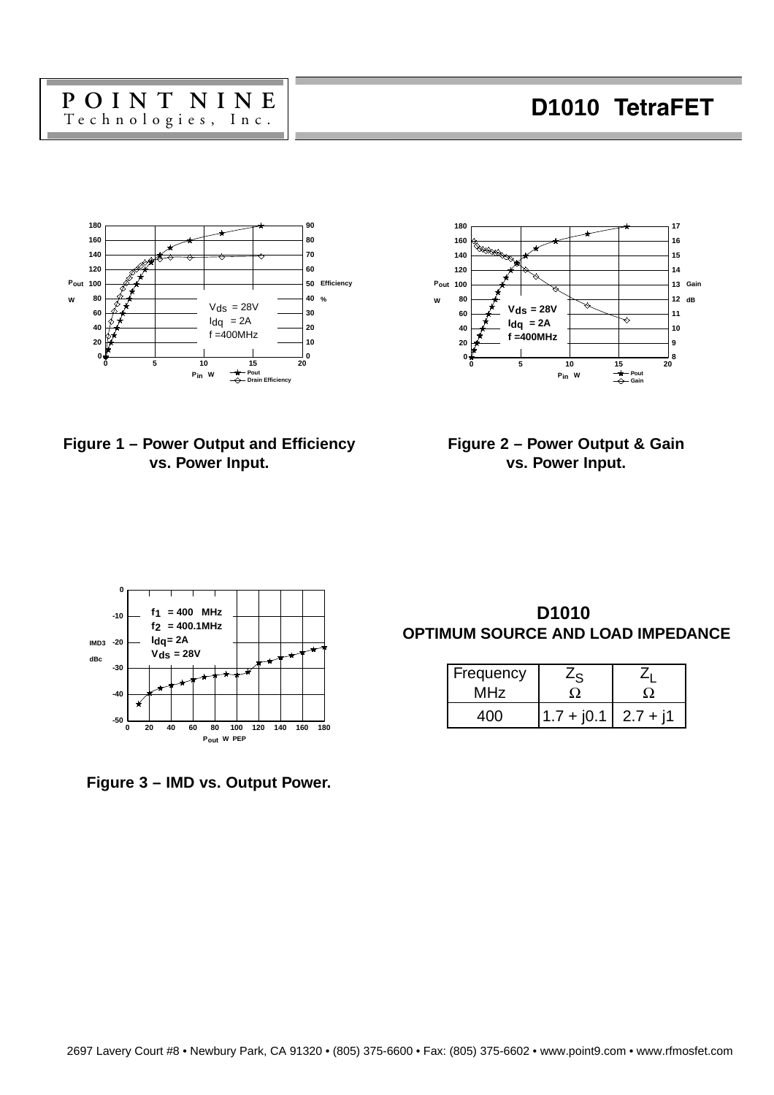



**Figure 1 – Power Output and Efficiency vs. Power Input.**

**Figure 2 – Power Output & Gain vs. Power Input.**





 **D1010 OPTIMUM SOURCE AND LOAD IMPEDANCE**

| Frequency<br>MHz |                         |  |  |
|------------------|-------------------------|--|--|
|                  | $1.7 + j0.1$   2.7 + j1 |  |  |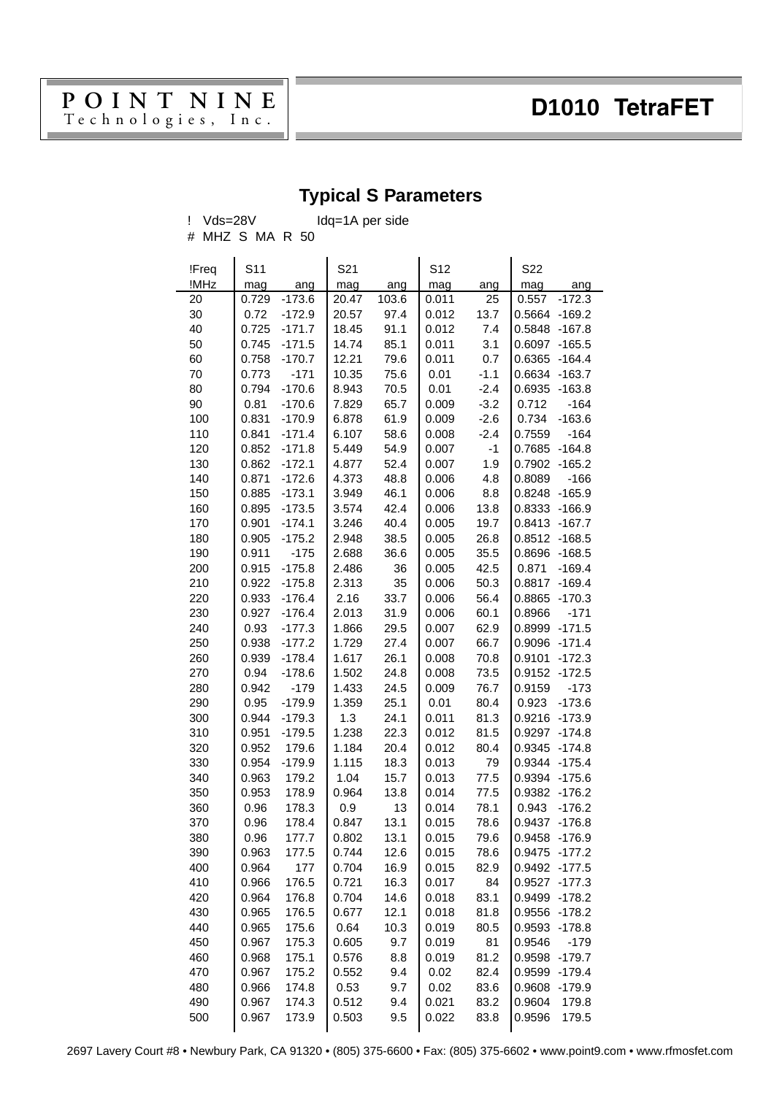# $\begin{array}{cc} \textbf{P} \textbf{O} \textbf{I} \textbf{N} \textbf{T} \textbf{N} \textbf{I} \textbf{N} \textbf{E} & \textbf{D} \textbf{10} \textbf{10} \textbf{D} \textbf{I} \textbf{D} \textbf{I} \textbf{I} \textbf{D} \textbf{I} \textbf{I} \textbf{D} \textbf{I} \textbf{I} \textbf{I} \textbf{I} \textbf{I} \textbf{I} \textbf{I} \textbf{I} \textbf{I} \textbf{I} \textbf{I} \textbf{I} \textbf{I} \textbf{I} \text$

## **Typical S Parameters**

! Vds=28V Idq=1A per side

| # MHZ S MA R 50 |  |  |
|-----------------|--|--|
|                 |  |  |

| !Freq | S11   |          | S <sub>21</sub> |       | S12   |        | S22                |
|-------|-------|----------|-----------------|-------|-------|--------|--------------------|
| !MHz  | mag   | ang      | mag             | ang   | mag   | ang    | mag<br>ang         |
| 20    | 0.729 | $-173.6$ | 20.47           | 103.6 | 0.011 | 25     | 0.557<br>$-172.3$  |
| 30    | 0.72  | $-172.9$ | 20.57           | 97.4  | 0.012 | 13.7   | 0.5664<br>$-169.2$ |
| 40    | 0.725 | $-171.7$ | 18.45           | 91.1  | 0.012 | 7.4    | 0.5848<br>$-167.8$ |
| 50    | 0.745 | $-171.5$ | 14.74           | 85.1  | 0.011 | 3.1    | 0.6097<br>$-165.5$ |
| 60    | 0.758 | $-170.7$ | 12.21           | 79.6  | 0.011 | 0.7    | 0.6365<br>$-164.4$ |
| 70    | 0.773 | $-171$   | 10.35           | 75.6  | 0.01  | $-1.1$ | 0.6634<br>$-163.7$ |
| 80    | 0.794 | $-170.6$ | 8.943           | 70.5  | 0.01  | $-2.4$ | 0.6935<br>$-163.8$ |
| 90    | 0.81  | $-170.6$ | 7.829           | 65.7  | 0.009 | $-3.2$ | 0.712<br>$-164$    |
| 100   | 0.831 | $-170.9$ | 6.878           | 61.9  | 0.009 | $-2.6$ | 0.734<br>$-163.6$  |
| 110   | 0.841 | $-171.4$ | 6.107           | 58.6  | 0.008 | $-2.4$ | 0.7559<br>$-164$   |
| 120   | 0.852 | $-171.8$ | 5.449           | 54.9  | 0.007 | $-1$   | 0.7685<br>$-164.8$ |
| 130   | 0.862 | $-172.1$ | 4.877           | 52.4  | 0.007 | 1.9    | 0.7902<br>$-165.2$ |
| 140   | 0.871 | $-172.6$ | 4.373           | 48.8  | 0.006 | 4.8    | 0.8089<br>$-166$   |
| 150   | 0.885 | $-173.1$ | 3.949           | 46.1  | 0.006 | 8.8    | 0.8248<br>$-165.9$ |
| 160   | 0.895 | $-173.5$ | 3.574           | 42.4  | 0.006 | 13.8   | 0.8333<br>$-166.9$ |
| 170   | 0.901 | $-174.1$ | 3.246           | 40.4  | 0.005 | 19.7   | 0.8413<br>$-167.7$ |
| 180   | 0.905 | $-175.2$ | 2.948           | 38.5  | 0.005 | 26.8   | 0.8512<br>$-168.5$ |
| 190   | 0.911 | $-175$   | 2.688           | 36.6  | 0.005 | 35.5   | 0.8696<br>$-168.5$ |
| 200   | 0.915 | $-175.8$ | 2.486           | 36    | 0.005 | 42.5   | 0.871<br>$-169.4$  |
| 210   | 0.922 | $-175.8$ | 2.313           | 35    | 0.006 | 50.3   | 0.8817<br>$-169.4$ |
| 220   | 0.933 | $-176.4$ | 2.16            | 33.7  | 0.006 | 56.4   | 0.8865<br>$-170.3$ |
| 230   | 0.927 | $-176.4$ | 2.013           | 31.9  | 0.006 | 60.1   | 0.8966<br>$-171$   |
| 240   | 0.93  | $-177.3$ | 1.866           | 29.5  | 0.007 | 62.9   | 0.8999<br>$-171.5$ |
| 250   | 0.938 | $-177.2$ | 1.729           | 27.4  | 0.007 | 66.7   | 0.9096<br>$-171.4$ |
| 260   | 0.939 | $-178.4$ | 1.617           | 26.1  | 0.008 | 70.8   | 0.9101<br>$-172.3$ |
| 270   | 0.94  | $-178.6$ | 1.502           | 24.8  | 0.008 | 73.5   | 0.9152<br>$-172.5$ |
| 280   | 0.942 | $-179$   | 1.433           | 24.5  | 0.009 | 76.7   | 0.9159<br>$-173$   |
| 290   | 0.95  | $-179.9$ | 1.359           | 25.1  | 0.01  | 80.4   | 0.923<br>$-173.6$  |
| 300   | 0.944 | $-179.3$ | 1.3             | 24.1  | 0.011 | 81.3   | 0.9216<br>$-173.9$ |
| 310   | 0.951 | $-179.5$ | 1.238           | 22.3  | 0.012 | 81.5   | 0.9297<br>$-174.8$ |
| 320   | 0.952 | 179.6    | 1.184           | 20.4  | 0.012 | 80.4   | 0.9345<br>$-174.8$ |
| 330   | 0.954 | $-179.9$ | 1.115           | 18.3  | 0.013 | 79     | 0.9344<br>$-175.4$ |
| 340   | 0.963 | 179.2    | 1.04            | 15.7  | 0.013 | 77.5   | 0.9394<br>$-175.6$ |
| 350   | 0.953 | 178.9    | 0.964           | 13.8  | 0.014 | 77.5   | 0.9382<br>$-176.2$ |
| 360   | 0.96  | 178.3    | 0.9             | 13    | 0.014 | 78.1   | 0.943<br>$-176.2$  |
| 370   | 0.96  | 178.4    | 0.847           | 13.1  | 0.015 | 78.6   | 0.9437 -176.8      |
| 380   | 0.96  | 177.7    | 0.802           | 13.1  | 0.015 | 79.6   | 0.9458<br>$-176.9$ |
| 390   | 0.963 | 177.5    | 0.744           | 12.6  | 0.015 | 78.6   | 0.9475<br>$-177.2$ |
| 400   | 0.964 | 177      | 0.704           | 16.9  | 0.015 | 82.9   | 0.9492<br>$-177.5$ |
| 410   | 0.966 | 176.5    | 0.721           | 16.3  | 0.017 | 84     | 0.9527<br>$-177.3$ |
| 420   | 0.964 | 176.8    | 0.704           | 14.6  | 0.018 | 83.1   | 0.9499<br>$-178.2$ |
| 430   | 0.965 | 176.5    | 0.677           | 12.1  | 0.018 | 81.8   | 0.9556<br>$-178.2$ |
| 440   | 0.965 | 175.6    | 0.64            | 10.3  | 0.019 | 80.5   | 0.9593<br>$-178.8$ |
| 450   | 0.967 | 175.3    | 0.605           | 9.7   | 0.019 | 81     | 0.9546<br>$-179$   |
| 460   | 0.968 | 175.1    | 0.576           | 8.8   | 0.019 | 81.2   | 0.9598<br>$-179.7$ |
| 470   | 0.967 | 175.2    | 0.552           | 9.4   | 0.02  | 82.4   | 0.9599<br>$-179.4$ |
| 480   | 0.966 | 174.8    | 0.53            | 9.7   | 0.02  | 83.6   | 0.9608<br>$-179.9$ |
| 490   | 0.967 | 174.3    | 0.512           | 9.4   | 0.021 | 83.2   | 0.9604<br>179.8    |
| 500   | 0.967 | 173.9    | 0.503           | 9.5   | 0.022 | 83.8   | 0.9596<br>179.5    |

2697 Lavery Court #8 • Newbury Park, CA 91320 • (805) [375-6600 • Fax: \(805\) 375-](http://www.semelab.co.uk)6602 • www.point9.com • www.rfmosfet.com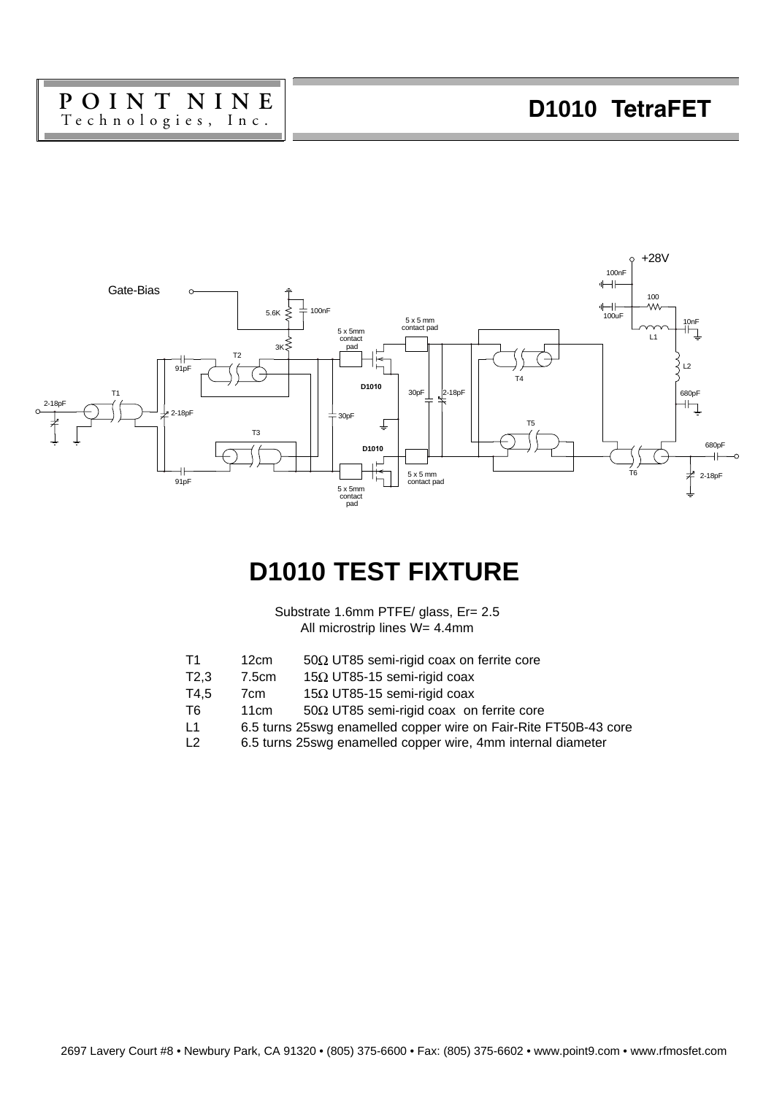# P O I N T N I N E **D1010 TetraFET**



## **D1010 TEST FIXTURE**

Substrate 1.6mm PTFE/ glass, Er= 2.5 All microstrip lines W= 4.4mm

- T1 12cm 50 $\Omega$  UT85 semi-rigid coax on ferrite core<br>T2.3 7.5cm 15 $\Omega$  UT85-15 semi-rigid coax
	- 15 $\Omega$  UT85-15 semi-rigid coax
- T4,5 7cm  $15\Omega$  UT85-15 semi-rigid coax<br>T6 11cm 50 $\Omega$  UT85 semi-rigid coax on
- $50\Omega$  UT85 semi-rigid coax on ferrite core
- L1 6.5 turns 25swg enamelled copper wire on Fair-Rite FT50B-43 core
- L2 6.5 turns 25swg enamelled copper wire, 4mm internal diameter